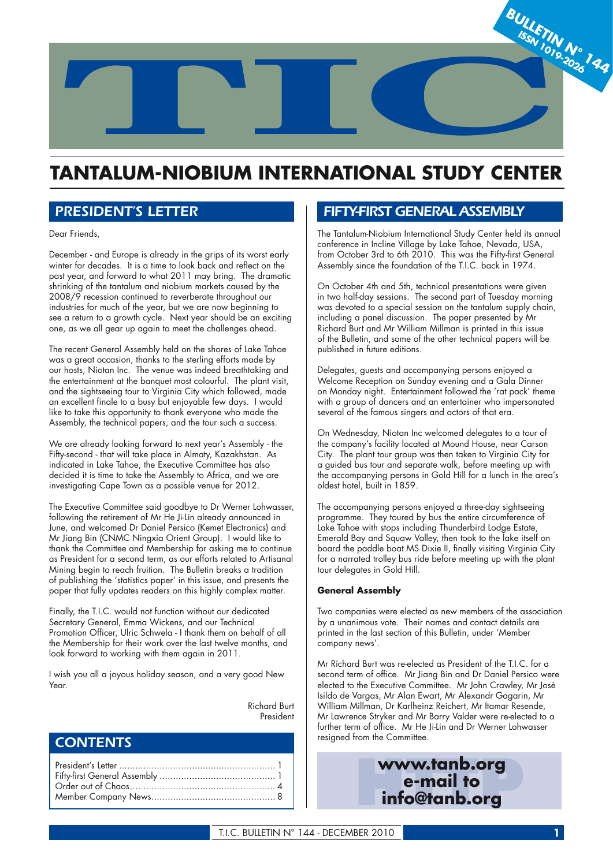

## **TANTALUM-NIOBIUM INTERNATIONAL STUDY CENTER**

## *PRESIDENT'S LETTER*

Dear Friends,

December - and Europe is already in the grips of its worst early winter for decades. It is a time to look back and reflect on the past year, and forward to what 2011 may bring. The dramatic shrinking of the tantalum and niobium markets caused by the 2008/9 recession continued to reverberate throughout our industries for much of the year, but we are now beginning to see a return to a growth cycle. Next year should be an exciting one, as we all gear up again to meet the challenges ahead.

The recent General Assembly held on the shores of Lake Tahoe was a great occasion, thanks to the sterling efforts made by our hosts, Niotan Inc. The venue was indeed breathtaking and the entertainment at the banquet most colourful. The plant visit, and the sightseeing tour to Virginia City which followed, made an excellent finale to a busy but enjoyable few days. I would like to take this opportunity to thank everyone who made the Assembly, the technical papers, and the tour such a success.

We are already looking forward to next year's Assembly - the Fifty-second - that will take place in Almaty, Kazakhstan. As indicated in Lake Tahoe, the Executive Committee has also decided it is time to take the Assembly to Africa, and we are investigating Cape Town as a possible venue for 2012.

The Executive Committee said goodbye to Dr Werner Lohwasser, following the retirement of Mr He Ji-Lin already announced in June, and welcomed Dr Daniel Persico (Kemet Electronics) and Mr Jiang Bin (CNMC Ningxia Orient Group). I would like to thank the Committee and Membership for asking me to continue as President for a second term, as our efforts related to Artisanal Mining begin to reach fruition. The Bulletin breaks a tradition of publishing the 'statistics paper' in this issue, and presents the paper that fully updates readers on this highly complex matter.

Finally, the T.I.C. would not function without our dedicated Secretary General, Emma Wickens, and our Technical Promotion Officer, Ulric Schwela - I thank them on behalf of all the Membership for their work over the last twelve months, and look forward to working with them again in 2011.

I wish you all a joyous holiday season, and a very good New Year.

> Richard Burt President

## *CONTENTS*

## *FIFTY-FIRST GENERAL ASSEMBLY*

The Tantalum-Niobium International Study Center held its annual conference in Incline Village by Lake Tahoe, Nevada, USA, from October 3rd to 6th 2010. This was the Fifty-first General Assembly since the foundation of the T.I.C. back in 1974.

On October 4th and 5th, technical presentations were given in two half-day sessions. The second part of Tuesday morning was devoted to a special session on the tantalum supply chain, including a panel discussion. The paper presented by Mr Richard Burt and Mr William Millman is printed in this issue of the Bulletin, and some of the other technical papers will be published in future editions.

Delegates, guests and accompanying persons enjoyed a Welcome Reception on Sunday evening and a Gala Dinner on Monday night. Entertainment followed the 'rat pack' theme with a group of dancers and an entertainer who impersonated several of the famous singers and actors of that era.

On Wednesday, Niotan Inc welcomed delegates to a tour of the company's facility located at Mound House, near Carson City. The plant tour group was then taken to Virginia City for a guided bus tour and separate walk, before meeting up with the accompanying persons in Gold Hill for a lunch in the area's oldest hotel, built in 1859.

The accompanying persons enjoyed a three-day sightseeing programme. They toured by bus the entire circumference of Lake Tahoe with stops including Thunderbird Lodge Estate, Emerald Bay and Squaw Valley, then took to the lake itself on board the paddle boat MS Dixie II, finally visiting Virginia City for a narrated trolley bus ride before meeting up with the plant tour delegates in Gold Hill.

#### **General Assembly**

Two companies were elected as new members of the association by a unanimous vote. Their names and contact details are printed in the last section of this Bulletin, under 'Member company news'.

Mr Richard Burt was re-elected as President of the T.I.C. for a second term of office. Mr Jiang Bin and Dr Daniel Persico were elected to the Executive Committee. Mr John Crawley, Mr José Isildo de Vargas, Mr Alan Ewart, Mr Alexandr Gagarin, Mr William Millman, Dr Karlheinz Reichert, Mr Itamar Resende, Mr Lawrence Stryker and Mr Barry Valder were re-elected to a further term of office. Mr He Ji-Lin and Dr Werner Lohwasser resigned from the Committee.

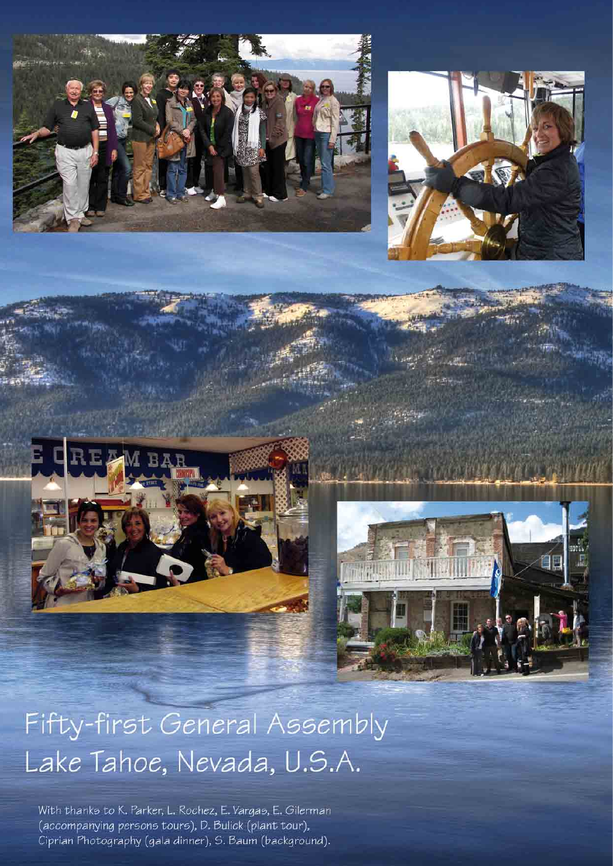







# Fifty-first General Assembly Lake Tahoe, Nevada, U.S.A.

With thanks to K. Parker, L. Rochez, E. Vargas, E. Gilerman (accompanying persons tours), D. Bulick (plant tour),<br>Ciprian Photography (gala dinner), S. Baum (background).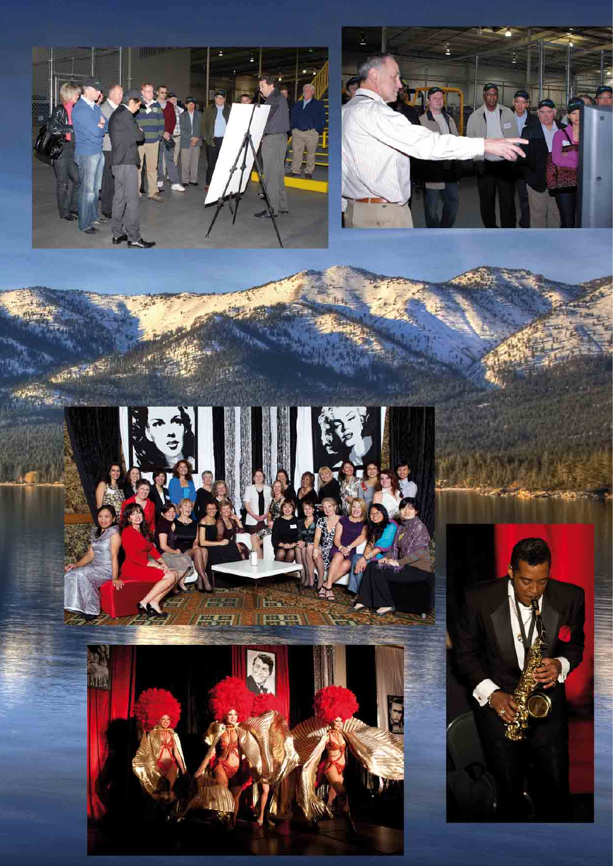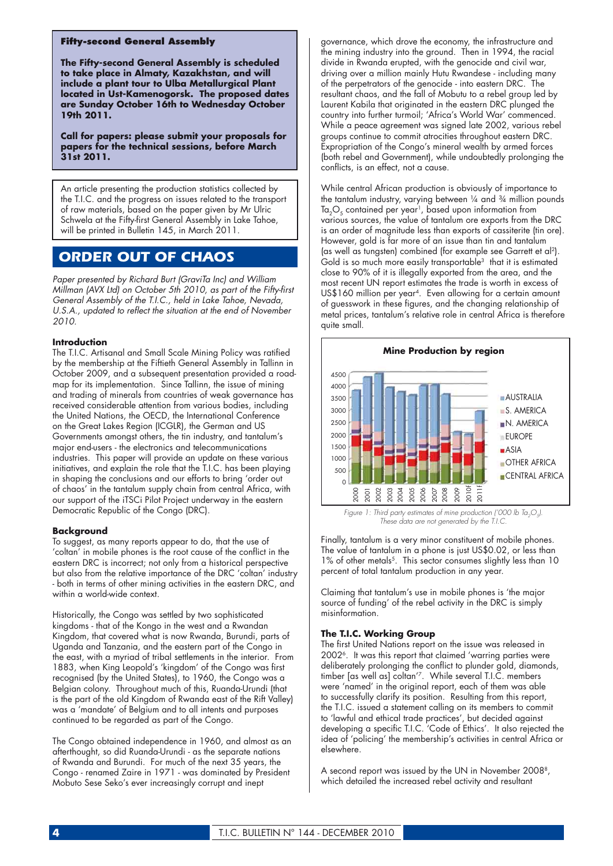#### **Fifty-second General Assembly**

**The Fifty-second General Assembly is scheduled to take place in Almaty, Kazakhstan, and will include a plant tour to Ulba Metallurgical Plant located in Ust-Kamenogorsk. The proposed dates are Sunday October 16th to Wednesday October 19th 2011.**

**Call for papers: please submit your proposals for papers for the technical sessions, before March 31st 2011.**

An article presenting the production statistics collected by the T.I.C. and the progress on issues related to the transport of raw materials, based on the paper given by Mr Ulric Schwela at the Fifty-first General Assembly in Lake Tahoe, will be printed in Bulletin 145, in March 2011.

## *ORDER OUT OF CHAOS*

Paper presented by Richard Burt (GraviTa Inc) and William Millman (AVX Ltd) on October 5th 2010, as part of the Fifty-first General Assembly of the T.I.C., held in Lake Tahoe, Nevada, U.S.A., updated to reflect the situation at the end of November 2010.

#### **Introduction**

The T.I.C. Artisanal and Small Scale Mining Policy was ratified by the membership at the Fiftieth General Assembly in Tallinn in October 2009, and a subsequent presentation provided a roadmap for its implementation. Since Tallinn, the issue of mining and trading of minerals from countries of weak governance has received considerable attention from various bodies, including the United Nations, the OECD, the International Conference on the Great Lakes Region (ICGLR), the German and US Governments amongst others, the tin industry, and tantalum's major end-users - the electronics and telecommunications industries. This paper will provide an update on these various initiatives, and explain the role that the T.I.C. has been playing in shaping the conclusions and our efforts to bring 'order out of chaos' in the tantalum supply chain from central Africa, with our support of the iTSCi Pilot Project underway in the eastern Democratic Republic of the Congo (DRC).

#### **Background**

To suggest, as many reports appear to do, that the use of 'coltan' in mobile phones is the root cause of the conflict in the eastern DRC is incorrect; not only from a historical perspective but also from the relative importance of the DRC 'coltan' industry - both in terms of other mining activities in the eastern DRC, and within a world-wide context.

Historically, the Congo was settled by two sophisticated kingdoms - that of the Kongo in the west and a Rwandan Kingdom, that covered what is now Rwanda, Burundi, parts of Uganda and Tanzania, and the eastern part of the Congo in the east, with a myriad of tribal settlements in the interior. From 1883, when King Leopold's 'kingdom' of the Congo was first recognised (by the United States), to 1960, the Congo was a Belgian colony. Throughout much of this, Ruanda-Urundi (that is the part of the old Kingdom of Rwanda east of the Rift Valley) was a 'mandate' of Belgium and to all intents and purposes continued to be regarded as part of the Congo.

The Congo obtained independence in 1960, and almost as an afterthought, so did Ruanda-Urundi - as the separate nations of Rwanda and Burundi. For much of the next 35 years, the Congo - renamed Zaire in 1971 - was dominated by President Mobuto Sese Seko's ever increasingly corrupt and inept

governance, which drove the economy, the infrastructure and the mining industry into the ground. Then in 1994, the racial divide in Rwanda erupted, with the genocide and civil war, driving over a million mainly Hutu Rwandese - including many of the perpetrators of the genocide - into eastern DRC. The resultant chaos, and the fall of Mobutu to a rebel group led by Laurent Kabila that originated in the eastern DRC plunged the country into further turmoil; 'Africa's World War' commenced. While a peace agreement was signed late 2002, various rebel groups continue to commit atrocities throughout eastern DRC. Expropriation of the Congo's mineral wealth by armed forces (both rebel and Government), while undoubtedly prolonging the conflicts, is an effect, not a cause.

While central African production is obviously of importance to the tantalum industry, varying between ¼ and ¾ million pounds  $Ta<sub>2</sub>O<sub>5</sub>$  contained per year<sup>1</sup>, based upon information from various sources, the value of tantalum ore exports from the DRC is an order of magnitude less than exports of cassiterite (tin ore). However, gold is far more of an issue than tin and tantalum (as well as tungsten) combined (for example see Garrett et al2). Gold is so much more easily transportable<sup>3</sup> that it is estimated close to 90% of it is illegally exported from the area, and the most recent UN report estimates the trade is worth in excess of US\$160 million per year4. Even allowing for a certain amount of guesswork in these figures, and the changing relationship of metal prices, tantalum's relative role in central Africa is therefore quite small.





Finally, tantalum is a very minor constituent of mobile phones. The value of tantalum in a phone is just US\$0.02, or less than 1% of other metals<sup>5</sup>. This sector consumes slightly less than 10 percent of total tantalum production in any year.

Claiming that tantalum's use in mobile phones is 'the major source of funding' of the rebel activity in the DRC is simply misinformation.

#### **The T.I.C. Working Group**

The first United Nations report on the issue was released in 20026. It was this report that claimed 'warring parties were deliberately prolonging the conflict to plunder gold, diamonds, timber [as well as] coltan'7. While several T.I.C. members were 'named' in the original report, each of them was able to successfully clarify its position. Resulting from this report, the T.I.C. issued a statement calling on its members to commit to 'lawful and ethical trade practices', but decided against developing a specific T.I.C. 'Code of Ethics'. It also rejected the idea of 'policing' the membership's activities in central Africa or elsewhere.

A second report was issued by the UN in November 20088, which detailed the increased rebel activity and resultant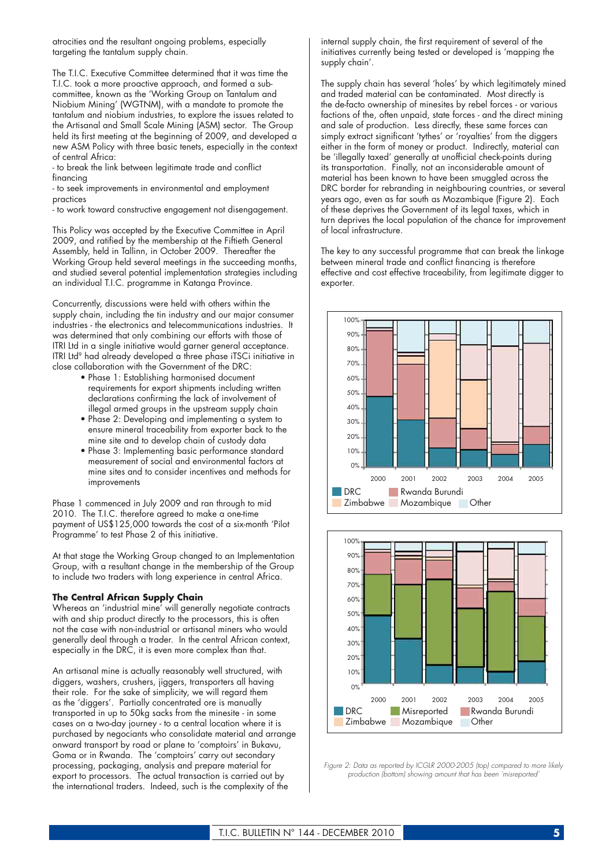atrocities and the resultant ongoing problems, especially targeting the tantalum supply chain.

The T.I.C. Executive Committee determined that it was time the T.I.C. took a more proactive approach, and formed a subcommittee, known as the 'Working Group on Tantalum and Niobium Mining' (WGTNM), with a mandate to promote the tantalum and niobium industries, to explore the issues related to the Artisanal and Small Scale Mining (ASM) sector. The Group held its first meeting at the beginning of 2009, and developed a new ASM Policy with three basic tenets, especially in the context of central Africa:

- to break the link between leaitimate trade and conflict financing

- to seek improvements in environmental and employment practices

- to work toward constructive engagement not disengagement.

This Policy was accepted by the Executive Committee in April 2009, and ratified by the membership at the Fiftieth General Assembly, held in Tallinn, in October 2009. Thereafter the Working Group held several meetings in the succeeding months, and studied several potential implementation strategies including an individual T.I.C. programme in Katanga Province.

Concurrently, discussions were held with others within the supply chain, including the tin industry and our major consumer industries - the electronics and telecommunications industries. It was determined that only combining our efforts with those of ITRI Ltd in a single initiative would garner general acceptance. ITRI Ltd<sup>9</sup> had already developed a three phase iTSCi initiative in close collaboration with the Government of the DRC:

- Phase 1: Establishing harmonised document requirements for export shipments including written declarations confirming the lack of involvement of illegal armed groups in the upstream supply chain
- Phase 2: Developing and implementing a system to ensure mineral traceability from exporter back to the mine site and to develop chain of custody data
- Phase 3: Implementing basic performance standard measurement of social and environmental factors at mine sites and to consider incentives and methods for improvements

Phase 1 commenced in July 2009 and ran through to mid 2010. The T.I.C. therefore agreed to make a one-time payment of US\$125,000 towards the cost of a six-month 'Pilot Programme' to test Phase 2 of this initiative.

At that stage the Working Group changed to an Implementation Group, with a resultant change in the membership of the Group to include two traders with long experience in central Africa.

#### **The Central African Supply Chain**

Whereas an 'industrial mine' will generally negotiate contracts with and ship product directly to the processors, this is often not the case with non-industrial or artisanal miners who would generally deal through a trader. In the central African context, especially in the DRC, it is even more complex than that.

An artisanal mine is actually reasonably well structured, with diggers, washers, crushers, jiggers, transporters all having their role. For the sake of simplicity, we will regard them as the 'diggers'. Partially concentrated ore is manually transported in up to 50kg sacks from the minesite - in some cases on a two-day journey - to a central location where it is purchased by negociants who consolidate material and arrange onward transport by road or plane to 'comptoirs' in Bukavu, Goma or in Rwanda. The 'comptoirs' carry out secondary processing, packaging, analysis and prepare material for export to processors. The actual transaction is carried out by the international traders. Indeed, such is the complexity of the

internal supply chain, the first requirement of several of the initiatives currently being tested or developed is 'mapping the supply chain'.

The supply chain has several 'holes' by which legitimately mined and traded material can be contaminated. Most directly is the de-facto ownership of minesites by rebel forces - or various factions of the, often unpaid, state forces - and the direct mining and sale of production. Less directly, these same forces can simply extract significant 'tythes' or 'royalties' from the diggers either in the form of money or product. Indirectly, material can be 'illegally taxed' generally at unofficial check-points during its transportation. Finally, not an inconsiderable amount of material has been known to have been smuggled across the DRC border for rebranding in neighbouring countries, or several years ago, even as far south as Mozambique (Figure 2). Each of these deprives the Government of its legal taxes, which in turn deprives the local population of the chance for improvement of local infrastructure.

The key to any successful programme that can break the linkage between mineral trade and conflict financing is therefore effective and cost effective traceability, from legitimate digger to exporter.





*Figure 2: Data as reported by ICGLR 2000-2005 (top) compared to more likely production (bottom) showing amount that has been 'misreported'*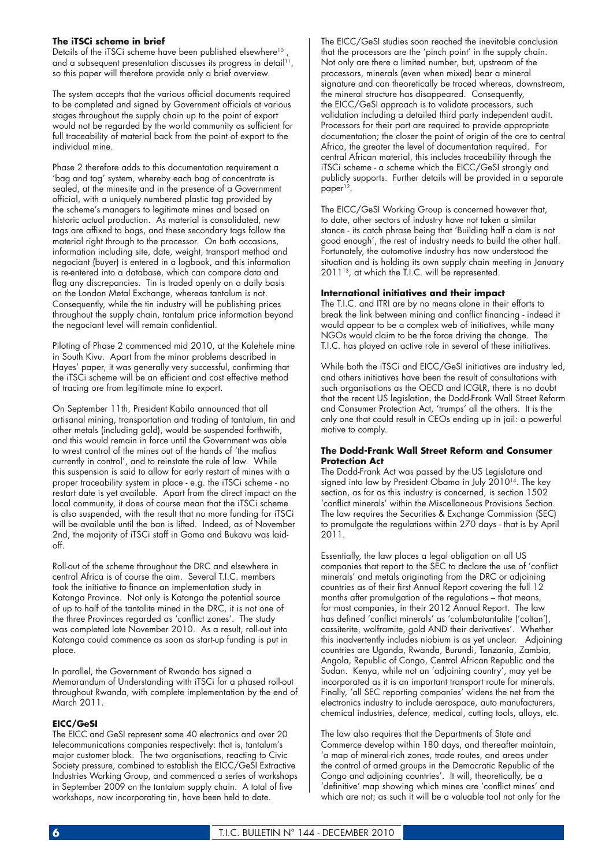#### **The iTSCi scheme in brief**

Details of the iTSCi scheme have been published elsewhere<sup>10</sup> and a subsequent presentation discusses its progress in detail<sup>11</sup>, so this paper will therefore provide only a brief overview.

The system accepts that the various official documents required to be completed and signed by Government officials at various stages throughout the supply chain up to the point of export would not be regarded by the world community as sufficient for full traceability of material back from the point of export to the individual mine.

Phase 2 therefore adds to this documentation requirement a 'bag and tag' system, whereby each bag of concentrate is sealed, at the minesite and in the presence of a Government official, with a uniquely numbered plastic tag provided by the scheme's managers to legitimate mines and based on historic actual production. As material is consolidated, new tags are affixed to bags, and these secondary tags follow the material right through to the processor. On both occasions, information including site, date, weight, transport method and negociant (buyer) is entered in a logbook, and this information is re-entered into a database, which can compare data and flag any discrepancies. Tin is traded openly on a daily basis on the London Metal Exchange, whereas tantalum is not. Consequently, while the tin industry will be publishing prices throughout the supply chain, tantalum price information beyond the negociant level will remain confidential.

Piloting of Phase 2 commenced mid 2010, at the Kalehele mine in South Kivu. Apart from the minor problems described in Hayes' paper, it was generally very successful, confirming that the iTSCi scheme will be an efficient and cost effective method of tracing ore from legitimate mine to export.

On September 11th, President Kabila announced that all artisanal mining, transportation and trading of tantalum, tin and other metals (including gold), would be suspended forthwith, and this would remain in force until the Government was able to wrest control of the mines out of the hands of 'the mafias currently in control', and to reinstate the rule of law. While this suspension is said to allow for early restart of mines with a proper traceability system in place - e.g. the iTSCi scheme - no restart date is yet available. Apart from the direct impact on the local community, it does of course mean that the iTSCi scheme is also suspended, with the result that no more funding for iTSCi will be available until the ban is lifted. Indeed, as of November 2nd, the majority of iTSCi staff in Goma and Bukavu was laidoff.

Roll-out of the scheme throughout the DRC and elsewhere in central Africa is of course the aim. Several T.I.C. members took the initiative to finance an implementation study in Katanga Province. Not only is Katanga the potential source of up to half of the tantalite mined in the DRC, it is not one of the three Provinces regarded as 'conflict zones'. The study was completed late November 2010. As a result, roll-out into Katanga could commence as soon as start-up funding is put in place.

In parallel, the Government of Rwanda has signed a Memorandum of Understanding with iTSCi for a phased roll-out throughout Rwanda, with complete implementation by the end of March 2011.

#### **EICC/GeSI**

The EICC and GeSI represent some 40 electronics and over 20 telecommunications companies respectively: that is, tantalum's major customer block. The two organisations, reacting to Civic Society pressure, combined to establish the EICC/GeSI Extractive Industries Working Group, and commenced a series of workshops in September 2009 on the tantalum supply chain. A total of five workshops, now incorporating tin, have been held to date.

The EICC/GeSI studies soon reached the inevitable conclusion that the processors are the 'pinch point' in the supply chain. Not only are there a limited number, but, upstream of the processors, minerals (even when mixed) bear a mineral signature and can theoretically be traced whereas, downstream, the mineral structure has disappeared. Consequently, the EICC/GeSI approach is to validate processors, such validation including a detailed third party independent audit. Processors for their part are required to provide appropriate documentation; the closer the point of origin of the ore to central Africa, the greater the level of documentation required. For central African material, this includes traceability through the iTSCi scheme - a scheme which the EICC/GeSI strongly and publicly supports. Further details will be provided in a separate paper<sup>12</sup>.

The EICC/GeSI Working Group is concerned however that, to date, other sectors of industry have not taken a similar stance - its catch phrase being that 'Building half a dam is not good enough', the rest of industry needs to build the other half. Fortunately, the automotive industry has now understood the situation and is holding its own supply chain meeting in January 201113, at which the T.I.C. will be represented.

#### **International initiatives and their impact**

The T.I.C. and ITRI are by no means alone in their efforts to break the link between mining and conflict financing - indeed it would appear to be a complex web of initiatives, while many NGOs would claim to be the force driving the change. The T.I.C. has played an active role in several of these initiatives.

While both the iTSCi and EICC/GeSI initiatives are industry led, and others initiatives have been the result of consultations with such organisations as the OECD and ICGLR, there is no doubt that the recent US legislation, the Dodd-Frank Wall Street Reform and Consumer Protection Act, 'trumps' all the others. It is the only one that could result in CEOs ending up in jail: a powerful motive to comply.

#### **The Dodd-Frank Wall Street Reform and Consumer Protection Act**

The Dodd-Frank Act was passed by the US Legislature and signed into law by President Obama in July 2010<sup>14</sup>. The key section, as far as this industry is concerned, is section 1502 'conflict minerals' within the Miscellaneous Provisions Section. The law requires the Securities & Exchange Commission (SEC) to promulgate the regulations within 270 days - that is by April 2011.

Essentially, the law places a legal obligation on all US companies that report to the SEC to declare the use of 'conflict minerals' and metals originating from the DRC or adjoining countries as of their first Annual Report covering the full 12 months after promulgation of the regulations – that means, for most companies, in their 2012 Annual Report. The law has defined 'conflict minerals' as 'columbotantalite ('coltan'), cassiterite, wolframite, gold AND their derivatives'. Whether this inadvertently includes niobium is as yet unclear. Adjoining countries are Uganda, Rwanda, Burundi, Tanzania, Zambia, Angola, Republic of Congo, Central African Republic and the Sudan. Kenya, while not an 'adjoining country', may yet be incorporated as it is an important transport route for minerals. Finally, 'all SEC reporting companies' widens the net from the electronics industry to include aerospace, auto manufacturers, chemical industries, defence, medical, cutting tools, alloys, etc.

The law also requires that the Departments of State and Commerce develop within 180 days, and thereafter maintain, 'a map of mineral-rich zones, trade routes, and areas under the control of armed groups in the Democratic Republic of the Congo and adjoining countries'. It will, theoretically, be a 'definitive' map showing which mines are 'conflict mines' and which are not; as such it will be a valuable tool not only for the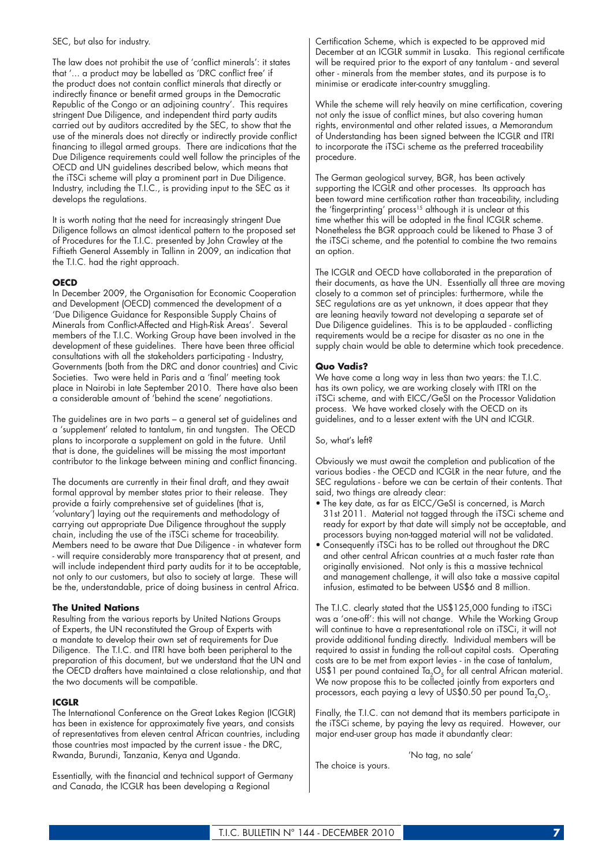#### SEC, but also for industry.

The law does not prohibit the use of 'conflict minerals': it states that '... a product may be labelled as 'DRC conflict free' if the product does not contain conflict minerals that directly or indirectly finance or benefit armed groups in the Democratic Republic of the Congo or an adjoining country'. This requires stringent Due Diligence, and independent third party audits carried out by auditors accredited by the SEC, to show that the use of the minerals does not directly or indirectly provide conflict financing to illegal armed groups. There are indications that the Due Diligence requirements could well follow the principles of the OECD and UN guidelines described below, which means that the iTSCi scheme will play a prominent part in Due Diligence. Industry, including the T.I.C., is providing input to the SEC as it develops the regulations.

It is worth noting that the need for increasingly stringent Due Diligence follows an almost identical pattern to the proposed set of Procedures for the T.I.C. presented by John Crawley at the Fiftieth General Assembly in Tallinn in 2009, an indication that the T.I.C. had the right approach.

#### **OECD**

In December 2009, the Organisation for Economic Cooperation and Development (OECD) commenced the development of a 'Due Diligence Guidance for Responsible Supply Chains of Minerals from Conflict-Affected and High-Risk Areas'. Several members of the T.I.C. Working Group have been involved in the development of these guidelines. There have been three official consultations with all the stakeholders participating - Industry, Governments (both from the DRC and donor countries) and Civic Societies. Two were held in Paris and a 'final' meeting took place in Nairobi in late September 2010. There have also been a considerable amount of 'behind the scene' negotiations.

The guidelines are in two parts – a general set of guidelines and a 'supplement' related to tantalum, tin and tungsten. The OECD plans to incorporate a supplement on gold in the future. Until that is done, the guidelines will be missing the most important contributor to the linkage between mining and conflict financing.

The documents are currently in their final draft, and they await formal approval by member states prior to their release. They provide a fairly comprehensive set of guidelines (that is, 'voluntary') laying out the requirements and methodology of carrying out appropriate Due Diligence throughout the supply chain, including the use of the iTSCi scheme for traceability. Members need to be aware that Due Diligence - in whatever form - will require considerably more transparency that at present, and will include independent third party audits for it to be acceptable, not only to our customers, but also to society at large. These will be the, understandable, price of doing business in central Africa.

#### **The United Nations**

Resulting from the various reports by United Nations Groups of Experts, the UN reconstituted the Group of Experts with a mandate to develop their own set of requirements for Due Diligence. The T.I.C. and ITRI have both been peripheral to the preparation of this document, but we understand that the UN and the OECD drafters have maintained a close relationship, and that the two documents will be compatible.

#### **ICGLR**

The International Conference on the Great Lakes Region (ICGLR) has been in existence for approximately five years, and consists of representatives from eleven central African countries, including those countries most impacted by the current issue - the DRC, Rwanda, Burundi, Tanzania, Kenya and Uganda.

Essentially, with the financial and technical support of Germany and Canada, the ICGLR has been developing a Regional

Certification Scheme, which is expected to be approved mid December at an ICGLR summit in Lusaka. This regional certificate will be required prior to the export of any tantalum - and several other - minerals from the member states, and its purpose is to minimise or eradicate inter-country smuggling.

While the scheme will rely heavily on mine certification, covering not only the issue of conflict mines, but also covering human rights, environmental and other related issues, a Memorandum of Understanding has been signed between the ICGLR and ITRI to incorporate the iTSCi scheme as the preferred traceability procedure.

The German geological survey, BGR, has been actively supporting the ICGLR and other processes. Its approach has been toward mine certification rather than traceability, including the 'fingerprinting' process<sup>15</sup> although it is unclear at this time whether this will be adopted in the final ICGLR scheme. Nonetheless the BGR approach could be likened to Phase 3 of the iTSCi scheme, and the potential to combine the two remains an option.

The ICGLR and OECD have collaborated in the preparation of their documents, as have the UN. Essentially all three are moving closely to a common set of principles: furthermore, while the SEC regulations are as yet unknown, it does appear that they are leaning heavily toward not developing a separate set of Due Diligence guidelines. This is to be applauded - conflicting requirements would be a recipe for disaster as no one in the supply chain would be able to determine which took precedence.

#### **Quo Vadis?**

We have come a long way in less than two years: the T.I.C. has its own policy, we are working closely with ITRI on the iTSCi scheme, and with EICC/GeSI on the Processor Validation process. We have worked closely with the OECD on its guidelines, and to a lesser extent with the UN and ICGLR.

So, what's left?

Obviously we must await the completion and publication of the various bodies - the OECD and ICGLR in the near future, and the SEC regulations - before we can be certain of their contents. That said, two things are already clear:

- The key date, as far as EICC/GeSI is concerned, is March 31st 2011. Material not tagged through the iTSCi scheme and ready for export by that date will simply not be acceptable, and processors buying non-tagged material will not be validated.
- Consequently iTSCi has to be rolled out throughout the DRC and other central African countries at a much faster rate than originally envisioned. Not only is this a massive technical and management challenge, it will also take a massive capital infusion, estimated to be between US\$6 and 8 million.

The T.I.C. clearly stated that the US\$125,000 funding to iTSCi was a 'one-off': this will not change. While the Working Group will continue to have a representational role on iTSCi, it will not provide additional funding directly. Individual members will be required to assist in funding the roll-out capital costs. Operating costs are to be met from export levies - in the case of tantalum, US\$1 per pound contained  $Ta_2O_5$  for all central African material. We now propose this to be collected jointly from exporters and processors, each paying a levy of US\$0.50 per pound  $Ta_2O_5$ .

Finally, the T.I.C. can not demand that its members participate in the iTSCi scheme, by paying the levy as required. However, our major end-user group has made it abundantly clear:

'No tag, no sale'

The choice is yours.

**7**